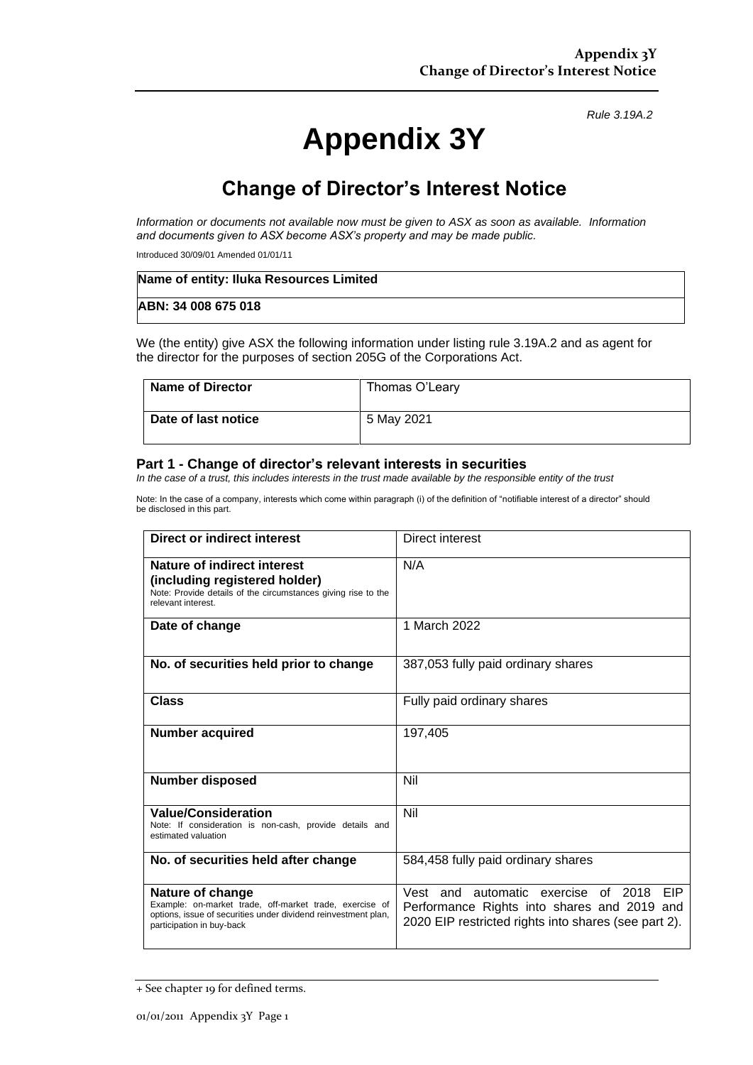*Rule 3.19A.2*

# **Appendix 3Y**

## **Change of Director's Interest Notice**

*Information or documents not available now must be given to ASX as soon as available. Information and documents given to ASX become ASX's property and may be made public.*

Introduced 30/09/01 Amended 01/01/11

| Name of entity: Iluka Resources Limited |  |
|-----------------------------------------|--|
| ABN: 34 008 675 018                     |  |

We (the entity) give ASX the following information under listing rule 3.19A.2 and as agent for the director for the purposes of section 205G of the Corporations Act.

| Name of Director    | Thomas O'Leary |
|---------------------|----------------|
| Date of last notice | 5 May 2021     |

#### **Part 1 - Change of director's relevant interests in securities**

*In the case of a trust, this includes interests in the trust made available by the responsible entity of the trust*

Note: In the case of a company, interests which come within paragraph (i) of the definition of "notifiable interest of a director" should be disclosed in this part.

| Direct or indirect interest                                                                                                                                                | <b>Direct interest</b>                                                                                                                            |  |
|----------------------------------------------------------------------------------------------------------------------------------------------------------------------------|---------------------------------------------------------------------------------------------------------------------------------------------------|--|
| Nature of indirect interest<br>(including registered holder)<br>Note: Provide details of the circumstances giving rise to the<br>relevant interest.                        | N/A                                                                                                                                               |  |
| Date of change                                                                                                                                                             | 1 March 2022                                                                                                                                      |  |
| No. of securities held prior to change                                                                                                                                     | 387,053 fully paid ordinary shares                                                                                                                |  |
| Class                                                                                                                                                                      | Fully paid ordinary shares                                                                                                                        |  |
| <b>Number acquired</b>                                                                                                                                                     | 197,405                                                                                                                                           |  |
| <b>Number disposed</b>                                                                                                                                                     | Nil                                                                                                                                               |  |
| <b>Value/Consideration</b><br>Note: If consideration is non-cash, provide details and<br>estimated valuation                                                               | Nil                                                                                                                                               |  |
| No. of securities held after change                                                                                                                                        | 584,458 fully paid ordinary shares                                                                                                                |  |
| Nature of change<br>Example: on-market trade, off-market trade, exercise of<br>options, issue of securities under dividend reinvestment plan,<br>participation in buy-back | Vest and automatic exercise of 2018<br>EIP<br>Performance Rights into shares and 2019 and<br>2020 EIP restricted rights into shares (see part 2). |  |

<sup>+</sup> See chapter 19 for defined terms.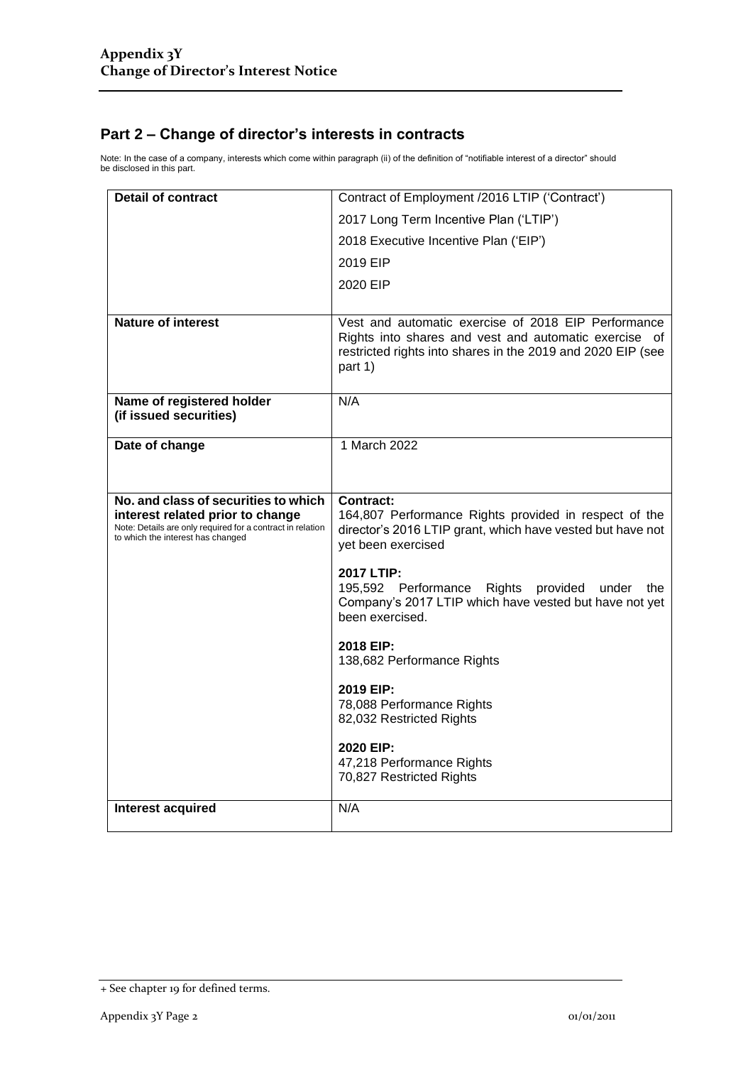### **Part 2 – Change of director's interests in contracts**

Note: In the case of a company, interests which come within paragraph (ii) of the definition of "notifiable interest of a director" should be disclosed in this part.

| <b>Detail of contract</b>                                                                                                           | Contract of Employment /2016 LTIP ('Contract')                                                                                                                                         |  |
|-------------------------------------------------------------------------------------------------------------------------------------|----------------------------------------------------------------------------------------------------------------------------------------------------------------------------------------|--|
|                                                                                                                                     | 2017 Long Term Incentive Plan ('LTIP')                                                                                                                                                 |  |
|                                                                                                                                     | 2018 Executive Incentive Plan ('EIP')                                                                                                                                                  |  |
|                                                                                                                                     | 2019 EIP                                                                                                                                                                               |  |
|                                                                                                                                     | 2020 EIP                                                                                                                                                                               |  |
|                                                                                                                                     |                                                                                                                                                                                        |  |
| <b>Nature of interest</b>                                                                                                           | Vest and automatic exercise of 2018 EIP Performance<br>Rights into shares and vest and automatic exercise of<br>restricted rights into shares in the 2019 and 2020 EIP (see<br>part 1) |  |
| Name of registered holder<br>(if issued securities)                                                                                 | N/A                                                                                                                                                                                    |  |
| Date of change                                                                                                                      | 1 March 2022                                                                                                                                                                           |  |
|                                                                                                                                     |                                                                                                                                                                                        |  |
| No. and class of securities to which                                                                                                | <b>Contract:</b>                                                                                                                                                                       |  |
| interest related prior to change<br>Note: Details are only required for a contract in relation<br>to which the interest has changed | 164,807 Performance Rights provided in respect of the<br>director's 2016 LTIP grant, which have vested but have not<br>yet been exercised                                              |  |
|                                                                                                                                     | 2017 LTIP:<br>195,592 Performance Rights provided under<br>the<br>Company's 2017 LTIP which have vested but have not yet<br>been exercised.                                            |  |
|                                                                                                                                     | 2018 EIP:<br>138,682 Performance Rights                                                                                                                                                |  |
|                                                                                                                                     | 2019 EIP:<br>78,088 Performance Rights<br>82,032 Restricted Rights                                                                                                                     |  |
|                                                                                                                                     | 2020 EIP:<br>47,218 Performance Rights<br>70,827 Restricted Rights                                                                                                                     |  |
| Interest acquired                                                                                                                   | N/A                                                                                                                                                                                    |  |

<sup>+</sup> See chapter 19 for defined terms.